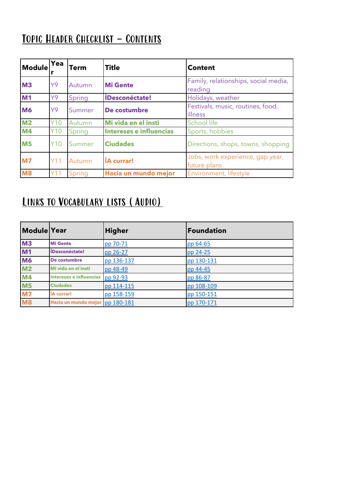# TOPIC HEADER CHECKLIST - CONTENTS

| Module         | Yea        | <b>Term</b> | <b>Title</b>                   | <b>Content</b>                                   |  |  |
|----------------|------------|-------------|--------------------------------|--------------------------------------------------|--|--|
| <b>M3</b>      | Y9         | Autumn      | <b>Mi Gente</b>                | Family, relationships, social media,<br>reading  |  |  |
| M <sub>1</sub> | Y9         | Spring      | <b>iDesconéctate!</b>          | Holidays, weather                                |  |  |
| <b>M6</b>      | Y9         | Summer      | De costumbre                   | Festivals, music, routines, food,<br>illness     |  |  |
| M <sub>2</sub> | Y10        | Autumn      | Mi vida en el insti            | School life                                      |  |  |
| <b>M4</b>      | Y10        | Spring      | <b>Intereses e influencias</b> | Sports, hobbies                                  |  |  |
| <b>M5</b>      | <b>Y10</b> | Summer      | <b>Ciudades</b>                | Directions, shops, towns, shopping               |  |  |
| <b>M7</b>      | Y11        | Autumn      | <b>IA</b> currar!              | Jobs, work experience, gap year,<br>future plans |  |  |
| <b>M8</b>      | Y11        | Spring      | Hacia un mundo mejor           | Environment, lifestyle                           |  |  |

#### Links to Vocabulary lists (Audio)

| Module Year    |                                | <b>Higher</b> | <b>Foundation</b> |
|----------------|--------------------------------|---------------|-------------------|
| <b>M3</b>      | <b>Mi Gente</b>                | pp 70-71      | pp 64-65          |
| M1             | <b>IDesconéctate!</b>          | pp 26-27      | pp 24-25          |
| <b>M6</b>      | De costumbre                   | pp 136-137    | pp 130-131        |
| M <sub>2</sub> | Mi vida en el insti            | pp 48-49      | pp 44-45          |
| M4             | <b>Intereses e influencias</b> | pp 92-93      | pp 86-87          |
| M <sub>5</sub> | <b>Ciudades</b>                | pp 114-115    | pp 108-109        |
| <b>M7</b>      | <b>IA</b> currar!              | pp 158-159    | pp 150-151        |
| <b>M8</b>      | Hacia un mundo mejor           | pp 180-181    | pp 170-171        |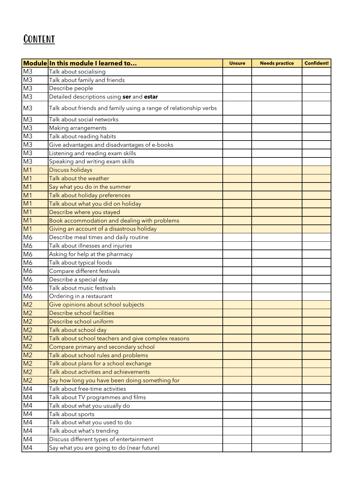### **CONTENT**

|                                     | Module In this module I learned to                                | <b>Unsure</b> | <b>Needs practice</b> | <b>Confident!</b> |
|-------------------------------------|-------------------------------------------------------------------|---------------|-----------------------|-------------------|
| $\frac{M3}{M3}$                     | Talk about socialising                                            |               |                       |                   |
|                                     | Talk about family and friends                                     |               |                       |                   |
| M <sub>3</sub>                      | Describe people                                                   |               |                       |                   |
| $\overline{M3}$                     | Detailed descriptions using ser and estar                         |               |                       |                   |
| M <sub>3</sub>                      | Talk about friends and family using a range of relationship verbs |               |                       |                   |
| M3                                  | Talk about social networks                                        |               |                       |                   |
| $\overline{M3}$                     | Making arrangements                                               |               |                       |                   |
| M <sub>3</sub>                      | Talk about reading habits                                         |               |                       |                   |
| $\frac{M3}{M3}$                     | Give advantages and disadvantages of e-books                      |               |                       |                   |
|                                     | Listening and reading exam skills                                 |               |                       |                   |
|                                     | Speaking and writing exam skills                                  |               |                       |                   |
| M3<br><u>M1<br/> M1</u><br>M1<br>M1 | Discuss holidays                                                  |               |                       |                   |
|                                     | Talk about the weather                                            |               |                       |                   |
|                                     | Say what you do in the summer                                     |               |                       |                   |
|                                     | Talk about holiday preferences                                    |               |                       |                   |
|                                     | Talk about what you did on holiday                                |               |                       |                   |
|                                     | Describe where you stayed                                         |               |                       |                   |
| M1<br>M1<br>M1                      | Book accommodation and dealing with problems                      |               |                       |                   |
| $\overline{M1}$                     | Giving an account of a disastrous holiday                         |               |                       |                   |
| M <sub>6</sub>                      | Describe meal times and daily routine                             |               |                       |                   |
| M <sub>6</sub>                      | Talk about illnesses and injuries                                 |               |                       |                   |
| M <sub>6</sub>                      | Asking for help at the pharmacy                                   |               |                       |                   |
| $\frac{M6}{M6}$                     | Talk about typical foods                                          |               |                       |                   |
|                                     | Compare different festivals                                       |               |                       |                   |
| M <sub>6</sub>                      | Describe a special day                                            |               |                       |                   |
| M <sub>6</sub>                      | Talk about music festivals                                        |               |                       |                   |
| M6                                  | Ordering in a restaurant                                          |               |                       |                   |
| $\frac{M2}{M2}$                     | Give opinions about school subjects                               |               |                       |                   |
|                                     | Describe school facilities                                        |               |                       |                   |
| $\frac{M2}{M2}$                     | Describe school uniform                                           |               |                       |                   |
|                                     | Talk about school day                                             |               |                       |                   |
|                                     | Talk about school teachers and give complex reasons               |               |                       |                   |
|                                     | Compare primary and secondary school                              |               |                       |                   |
| $\frac{M2}{M2}$                     | Talk about school rules and problems                              |               |                       |                   |
| $\frac{M2}{M2}$                     | Talk about plans for a school exchange                            |               |                       |                   |
|                                     | Talk about activities and achievements                            |               |                       |                   |
| M <sub>2</sub>                      | Say how long you have been doing something for                    |               |                       |                   |
| M <sub>4</sub>                      | Talk about free-time activities                                   |               |                       |                   |
| M4                                  | Talk about TV programmes and films                                |               |                       |                   |
| M4                                  | Talk about what you usually do                                    |               |                       |                   |
| M4                                  | Talk about sports                                                 |               |                       |                   |
| $\frac{M4}{M4}$                     | Talk about what you used to do                                    |               |                       |                   |
|                                     | Talk about what's trending                                        |               |                       |                   |
| M4                                  | Discuss different types of entertainment                          |               |                       |                   |
| M4                                  | Say what you are going to do (near future)                        |               |                       |                   |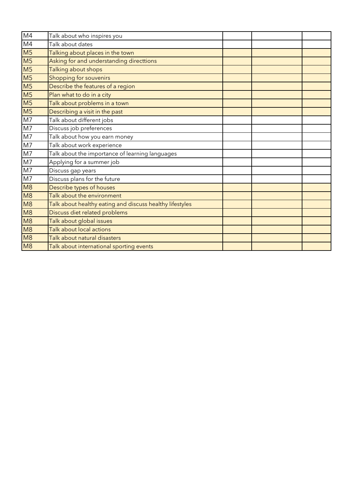| M <sub>4</sub>           | Talk about who inspires you                              |  |  |
|--------------------------|----------------------------------------------------------|--|--|
| M4                       | Talk about dates                                         |  |  |
| M <sub>5</sub>           | Talking about places in the town                         |  |  |
| M <sub>5</sub>           | Asking for and understanding directtions                 |  |  |
| M <sub>5</sub>           | Talking about shops                                      |  |  |
| M <sub>5</sub>           | Shopping for souvenirs                                   |  |  |
| M <sub>5</sub>           | Describe the features of a region                        |  |  |
| M <sub>5</sub>           | Plan what to do in a city                                |  |  |
| $\overline{\mathsf{M}5}$ | Talk about problems in a town                            |  |  |
| M <sub>5</sub>           | Describing a visit in the past                           |  |  |
| $\overline{M7}$          | Talk about different jobs                                |  |  |
| M7                       | Discuss job preferences                                  |  |  |
| M <sub>7</sub>           | Talk about how you earn money                            |  |  |
| M <sub>7</sub>           | Talk about work experience                               |  |  |
| M <sub>7</sub>           | Talk about the importance of learning languages          |  |  |
| M <sub>7</sub>           | Applying for a summer job                                |  |  |
| $\frac{M7}{M7}$          | Discuss gap years                                        |  |  |
|                          | Discuss plans for the future                             |  |  |
| M <sub>8</sub>           | Describe types of houses                                 |  |  |
| M <sub>8</sub>           | Talk about the environment                               |  |  |
| M8                       | Talk about healthy eating and discuss healthy lifestyles |  |  |
| M <sub>8</sub>           | Discuss diet related problems                            |  |  |
| M <sub>8</sub>           | Talk about global issues                                 |  |  |
| M <sub>8</sub>           | Talk about local actions                                 |  |  |
| M8                       | Talk about natural disasters                             |  |  |
| M8                       | Talk about international sporting events                 |  |  |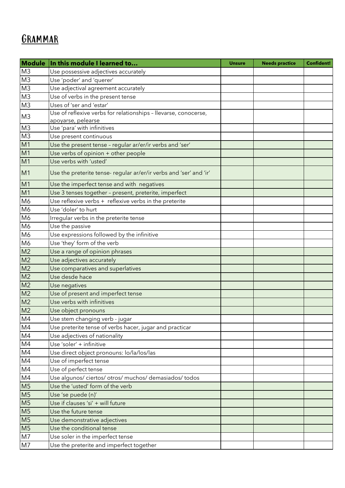### **GRAMMAR**

| Module         | In this module I learned to                                        | <b>Unsure</b> | <b>Needs practice</b> | <b>Confident!</b> |
|----------------|--------------------------------------------------------------------|---------------|-----------------------|-------------------|
| M <sub>3</sub> | Use possessive adjectives accurately                               |               |                       |                   |
| M <sub>3</sub> | Use 'poder' and 'querer'                                           |               |                       |                   |
| M <sub>3</sub> | Use adjectival agreement accurately                                |               |                       |                   |
| M <sub>3</sub> | Use of verbs in the present tense                                  |               |                       |                   |
| M <sub>3</sub> | Uses of 'ser and 'estar'                                           |               |                       |                   |
| M <sub>3</sub> | Use of reflexive verbs for relationships - llevarse, conocerse,    |               |                       |                   |
|                | apoyarse, pelearse                                                 |               |                       |                   |
| M <sub>3</sub> | Use 'para' with infinitives                                        |               |                       |                   |
| M <sub>3</sub> | Use present continuous                                             |               |                       |                   |
| M1             | Use the present tense - regular ar/er/ir verbs and 'ser'           |               |                       |                   |
| M1             | Use verbs of opinion + other people                                |               |                       |                   |
| M1             | Use verbs with 'usted'                                             |               |                       |                   |
| M1             | Use the preterite tense- regular ar/er/ir verbs and 'ser' and 'ir' |               |                       |                   |
| M1             | Use the imperfect tense and with negatives                         |               |                       |                   |
| M1             | Use 3 tenses together - present, preterite, imperfect              |               |                       |                   |
| M <sub>6</sub> | Use reflexive verbs + reflexive verbs in the preterite             |               |                       |                   |
| M <sub>6</sub> | Use 'doler' to hurt                                                |               |                       |                   |
| M <sub>6</sub> | Irregular verbs in the preterite tense                             |               |                       |                   |
| M <sub>6</sub> | Use the passive                                                    |               |                       |                   |
| M <sub>6</sub> | Use expressions followed by the infinitive                         |               |                       |                   |
| M <sub>6</sub> | Use 'they' form of the verb                                        |               |                       |                   |
| M <sub>2</sub> | Use a range of opinion phrases                                     |               |                       |                   |
| M <sub>2</sub> | Use adjectives accurately                                          |               |                       |                   |
| M <sub>2</sub> | Use comparatives and superlatives                                  |               |                       |                   |
| M <sub>2</sub> | Use desde hace                                                     |               |                       |                   |
| M <sub>2</sub> | Use negatives                                                      |               |                       |                   |
| M <sub>2</sub> | Use of present and imperfect tense                                 |               |                       |                   |
| M <sub>2</sub> | Use verbs with infinitives                                         |               |                       |                   |
| M <sub>2</sub> | Use object pronouns                                                |               |                       |                   |
| M4             | Use stem changing verb - jugar                                     |               |                       |                   |
| M4             | Use preterite tense of verbs hacer, jugar and practicar            |               |                       |                   |
| M4             | Use adjectives of nationality                                      |               |                       |                   |
| M4             | Use 'soler' + infinitive                                           |               |                       |                   |
| M4             | Use direct object pronouns: lo/la/los/las                          |               |                       |                   |
| M4             | Use of imperfect tense                                             |               |                       |                   |
| M4             | Use of perfect tense                                               |               |                       |                   |
| M4             | Use algunos/ciertos/otros/muchos/demasiados/todos                  |               |                       |                   |
| M <sub>5</sub> | Use the 'usted' form of the verb                                   |               |                       |                   |
| M <sub>5</sub> | Use 'se puede (n)'                                                 |               |                       |                   |
| M <sub>5</sub> | Use if clauses 'si' + will future                                  |               |                       |                   |
| M <sub>5</sub> | Use the future tense                                               |               |                       |                   |
| M <sub>5</sub> | Use demonstrative adjectives                                       |               |                       |                   |
| M <sub>5</sub> | Use the conditional tense                                          |               |                       |                   |
| M <sub>7</sub> | Use soler in the imperfect tense                                   |               |                       |                   |
| M <sub>7</sub> | Use the preterite and imperfect together                           |               |                       |                   |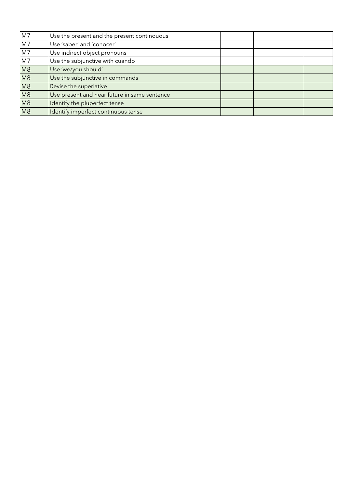| $\overline{M7}$ | Use the present and the present continouous  |  |  |
|-----------------|----------------------------------------------|--|--|
| M7              | Use 'saber' and 'conocer'                    |  |  |
| M <sub>7</sub>  | Use indirect object pronouns                 |  |  |
| M7              | Use the subjunctive with cuando              |  |  |
| M8              | Use 'we/you should'                          |  |  |
| M <sub>8</sub>  | Use the subjunctive in commands              |  |  |
| M8              | Revise the superlative                       |  |  |
| M <sub>8</sub>  | Use present and near future in same sentence |  |  |
| M <sub>8</sub>  | Identify the pluperfect tense                |  |  |
| M8              | Identify imperfect continuous tense          |  |  |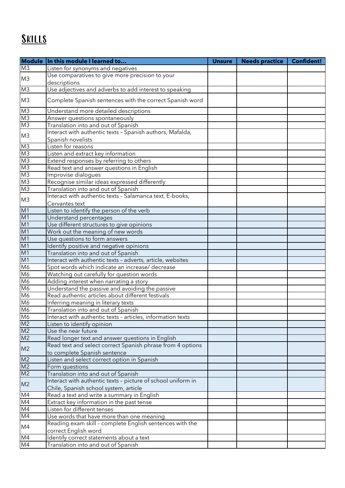# Skills

|                                              | Module   In this module I learned to                                                                  | <b>Unsure</b> | <b>Needs practice</b> | Confident! |
|----------------------------------------------|-------------------------------------------------------------------------------------------------------|---------------|-----------------------|------------|
| M <sub>3</sub>                               | Listen for synonyms and negatives                                                                     |               |                       |            |
|                                              | Use comparatives to give more precision to your                                                       |               |                       |            |
| M <sub>3</sub>                               | descriptions                                                                                          |               |                       |            |
| K <sub>3</sub>                               | Use adjectives and adverbs to add interest to speaking                                                |               |                       |            |
| M <sub>3</sub>                               | Complete Spanish sentences with the correct Spanish word                                              |               |                       |            |
| M <sub>3</sub>                               | Understand more detailed descriptions                                                                 |               |                       |            |
| M3                                           | Answer questions spontaneously                                                                        |               |                       |            |
| M3                                           | Translation into and out of Spanish                                                                   |               |                       |            |
|                                              | Interact with authentic texts - Spanish authors, Mafalda,                                             |               |                       |            |
| M <sub>3</sub>                               | Spanish novelists                                                                                     |               |                       |            |
|                                              | Listen for reasons                                                                                    |               |                       |            |
|                                              | Listen and extract key information                                                                    |               |                       |            |
|                                              | Extend responses by referring to others                                                               |               |                       |            |
| M3<br>M3<br>M3<br>M3<br>M3<br>M3<br>M3<br>M3 | Read text and answer questions in English                                                             |               |                       |            |
|                                              | Improvise dialoques                                                                                   |               |                       |            |
|                                              | Recognise similar ideas expressed differently                                                         |               |                       |            |
|                                              | Translation into and out of Spanish                                                                   |               |                       |            |
|                                              | Interact with authentic texts - Salamanca text, E-books,                                              |               |                       |            |
| M <sub>3</sub>                               | Cervantes text                                                                                        |               |                       |            |
| $\frac{M1}{M1}$                              | Listen to identify the person of the verb                                                             |               |                       |            |
|                                              | Understand percentages                                                                                |               |                       |            |
|                                              | Use different structures to give opinions                                                             |               |                       |            |
| M1                                           | Work out the meaning of new words                                                                     |               |                       |            |
| $\frac{M1}{M1}$                              | Use questions to form answers                                                                         |               |                       |            |
|                                              | Identify positive and negative opinions                                                               |               |                       |            |
| M1                                           | Translation into and out of Spanish                                                                   |               |                       |            |
| M1                                           | Interact with authentic texts - adverts, article, websites                                            |               |                       |            |
| M <sub>6</sub>                               | Spot words which indicate an increase/ decrease                                                       |               |                       |            |
| M <sub>6</sub>                               | Watching out carefully for question words                                                             |               |                       |            |
| M <sub>6</sub>                               | Adding interest when narrating a story                                                                |               |                       |            |
| M <sub>6</sub>                               | Understand the passive and avoiding the passive                                                       |               |                       |            |
| M <sub>6</sub>                               | Read authentic articles about different festivals                                                     |               |                       |            |
| M <sub>6</sub>                               | Inferring meaning in literary texts                                                                   |               |                       |            |
|                                              | Translation into and out of Spanish                                                                   |               |                       |            |
|                                              | Interact with authentic texts - articles, information texts                                           |               |                       |            |
| M6<br>M6<br>M2<br>M2<br>M2                   | Listen to identify opinion                                                                            |               |                       |            |
|                                              | Use the near future                                                                                   |               |                       |            |
|                                              | Read longer text and answer questions in English                                                      |               |                       |            |
| M <sub>2</sub>                               | Read text and select correct Spanish phrase from 4 options                                            |               |                       |            |
|                                              | to complete Spanish sentence                                                                          |               |                       |            |
| $\frac{M2}{M2}$                              | Listen and select correct option in Spanish                                                           |               |                       |            |
|                                              | Form questions                                                                                        |               |                       |            |
|                                              | Translation into and out of Spanish                                                                   |               |                       |            |
| M <sub>2</sub>                               | Interact with authentic texts - picture of school uniform in<br>Chile, Spanish school system, article |               |                       |            |
| M4                                           | Read a text and write a summary in English                                                            |               |                       |            |
| M4                                           | Extract key information in the past tense                                                             |               |                       |            |
| M <sub>4</sub>                               | Listen for different tenses                                                                           |               |                       |            |
| M4                                           | Use words that have more than one meaning                                                             |               |                       |            |
|                                              | Reading exam skill - complete English sentences with the                                              |               |                       |            |
| M4                                           | correct English word                                                                                  |               |                       |            |
| M4                                           | Identify correct statements about a text                                                              |               |                       |            |
| M4                                           | Translation into and out of Spanish                                                                   |               |                       |            |